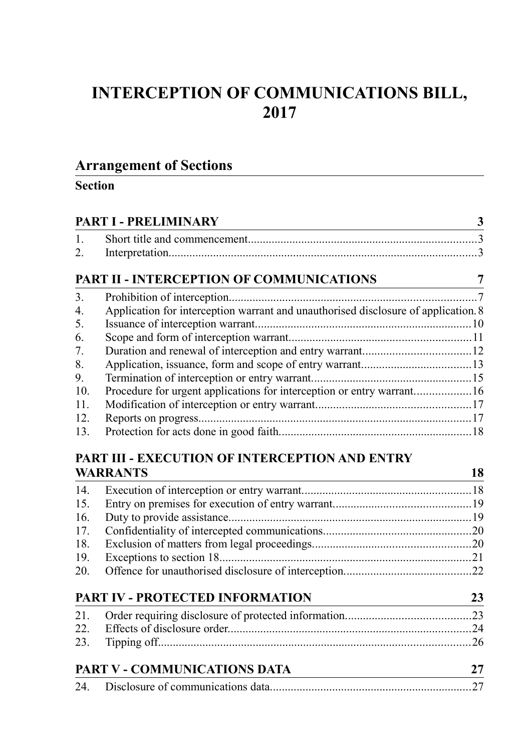# **INTERCEPTION OF COMMUNICATIONS BILL, 2017**

## **Arrangement of Sections**

## **Section**

|              | PART I - PRELIMINARY                                                               |  |
|--------------|------------------------------------------------------------------------------------|--|
| $\mathbf{1}$ |                                                                                    |  |
| 2.           |                                                                                    |  |
|              | PART II - INTERCEPTION OF COMMUNICATIONS                                           |  |
| 3.           |                                                                                    |  |
| 4.           | Application for interception warrant and unauthorised disclosure of application. 8 |  |
| 5.           |                                                                                    |  |
| 6.           |                                                                                    |  |
| 7.           |                                                                                    |  |
| 8.           |                                                                                    |  |
| 9.           |                                                                                    |  |
| 10.          | Procedure for urgent applications for interception or entry warrant16              |  |
| 11.          |                                                                                    |  |
| 12.          |                                                                                    |  |
| 13.          |                                                                                    |  |

## **[PART III - EXECUTION OF INTERCEPTION AND ENTRY](#page-17-1) [WARRANTS](#page-17-1) 18**

| <b>DADT IV DDOTECTED INFODMATION</b> | າາ |
|--------------------------------------|----|

| PART IV - PROTECTED INFORMATION |  |  |
|---------------------------------|--|--|
|                                 |  |  |
|                                 |  |  |
|                                 |  |  |
|                                 |  |  |

| PART V - COMMUNICATIONS DATA |  |
|------------------------------|--|
|                              |  |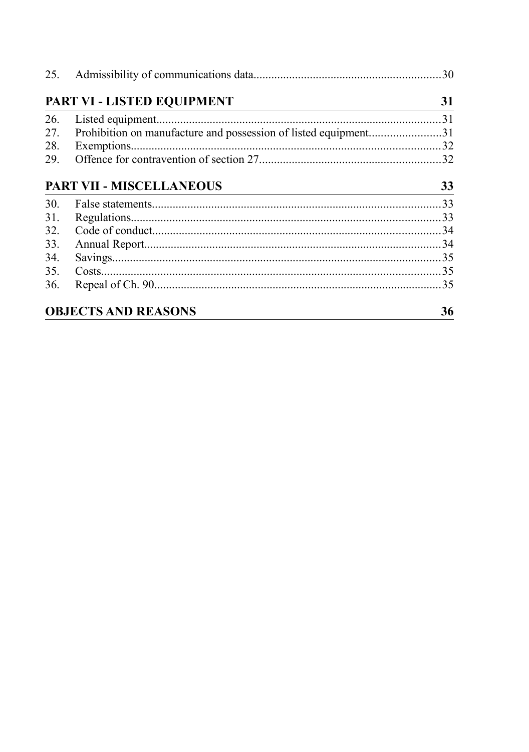|     | PART VI - LISTED EQUIPMENT                                      | 31 |
|-----|-----------------------------------------------------------------|----|
| 26. |                                                                 |    |
| 27. | Prohibition on manufacture and possession of listed equipment31 |    |
| 28. |                                                                 |    |
| 29. |                                                                 |    |
|     | <b>PART VII - MISCELLANEOUS</b>                                 | 33 |
| 30. |                                                                 |    |
| 31. |                                                                 |    |
| 32. |                                                                 |    |
| 33. |                                                                 |    |
| 34. |                                                                 |    |
| 35. |                                                                 |    |
| 36. |                                                                 |    |
|     | <b>OBJECTS AND REASONS</b>                                      | 36 |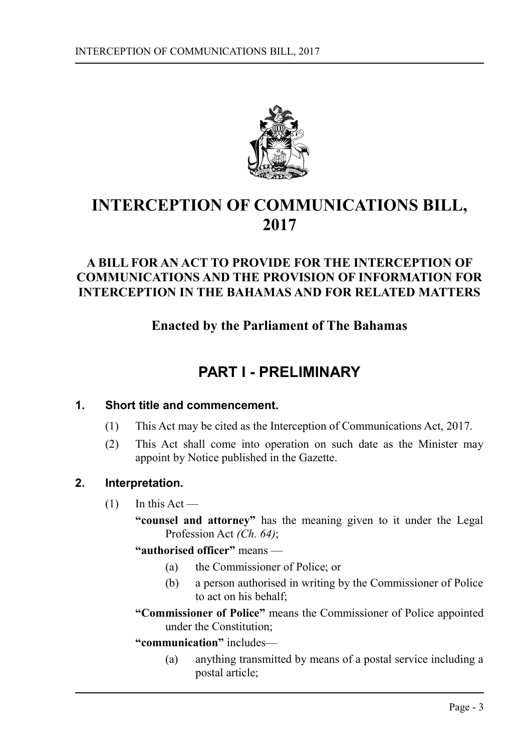

# **INTERCEPTION OF COMMUNICATIONS BILL, 2017**

## **A BILL FOR AN ACT TO PROVIDE FOR THE INTERCEPTION OF COMMUNICATIONS AND THE PROVISION OF INFORMATION FOR INTERCEPTION IN THE BAHAMAS AND FOR RELATED MATTERS**

**Enacted by the Parliament of The Bahamas**

# <span id="page-2-0"></span>**PART I - PRELIMINARY**

## **1. Short title and commencement.**

- <span id="page-2-2"></span>(1) This Act may be cited as the Interception of Communications Act, 2017.
- (2) This Act shall come into operation on such date as the Minister may appoint by Notice published in the Gazette.

## **2. Interpretation.**

- <span id="page-2-1"></span> $(1)$  In this Act —
	- **"counsel and attorney"** has the meaning given to it under the Legal Profession Act *(Ch. 64)*;
	- **"authorised officer"** means
		- (a) the Commissioner of Police; or
		- (b) a person authorised in writing by the Commissioner of Police to act on his behalf;
	- **"Commissioner of Police"** means the Commissioner of Police appointed under the Constitution;
	- **"communication"** includes—
		- (a) anything transmitted by means of a postal service including a postal article;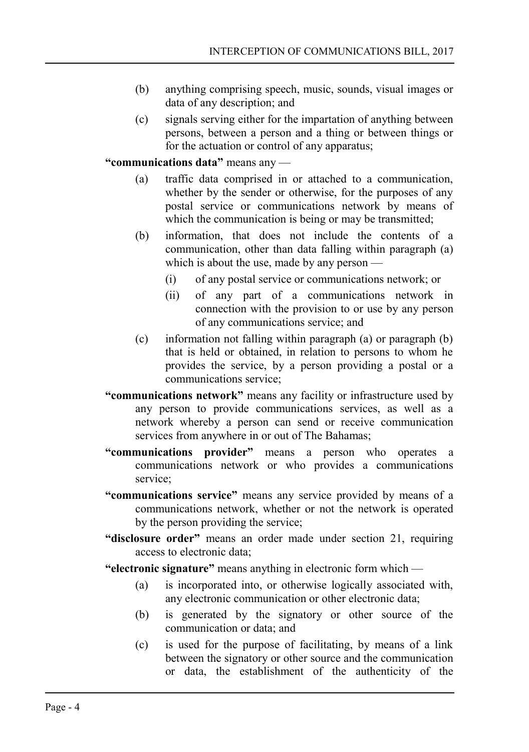- (b) anything comprising speech, music, sounds, visual images or data of any description; and
- (c) signals serving either for the impartation of anything between persons, between a person and a thing or between things or for the actuation or control of any apparatus;

**"communications data"** means any —

- (a) traffic data comprised in or attached to a communication, whether by the sender or otherwise, for the purposes of any postal service or communications network by means of which the communication is being or may be transmitted;
- (b) information, that does not include the contents of a communication, other than data falling within paragraph (a) which is about the use, made by any person —
	- (i) of any postal service or communications network; or
	- (ii) of any part of a communications network in connection with the provision to or use by any person of any communications service; and
- (c) information not falling within paragraph (a) or paragraph (b) that is held or obtained, in relation to persons to whom he provides the service, by a person providing a postal or a communications service;
- **"communications network"** means any facility or infrastructure used by any person to provide communications services, as well as a network whereby a person can send or receive communication services from anywhere in or out of The Bahamas;
- **"communications provider"** means a person who operates a communications network or who provides a communications service;
- **"communications service"** means any service provided by means of a communications network, whether or not the network is operated by the person providing the service;
- **"disclosure order"** means an order made under section 21, requiring access to electronic data;
- **"electronic signature"** means anything in electronic form which
	- (a) is incorporated into, or otherwise logically associated with, any electronic communication or other electronic data;
	- (b) is generated by the signatory or other source of the communication or data; and
	- (c) is used for the purpose of facilitating, by means of a link between the signatory or other source and the communication or data, the establishment of the authenticity of the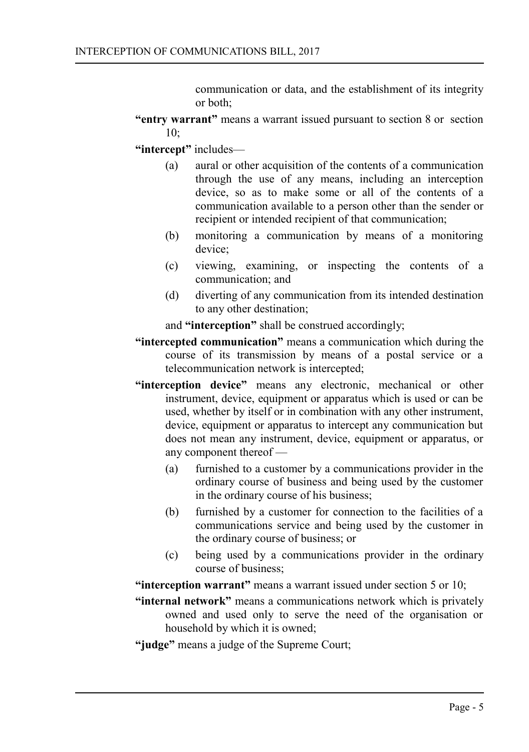communication or data, and the establishment of its integrity or both;

**"entry warrant"** means a warrant issued pursuant to section 8 or section  $10<sup>°</sup>$ 

**"intercept"** includes—

- (a) aural or other acquisition of the contents of a communication through the use of any means, including an interception device, so as to make some or all of the contents of a communication available to a person other than the sender or recipient or intended recipient of that communication;
- (b) monitoring a communication by means of a monitoring device;
- (c) viewing, examining, or inspecting the contents of a communication; and
- (d) diverting of any communication from its intended destination to any other destination;

and **"interception"** shall be construed accordingly;

- **"intercepted communication"** means a communication which during the course of its transmission by means of a postal service or a telecommunication network is intercepted;
- **"interception device"** means any electronic, mechanical or other instrument, device, equipment or apparatus which is used or can be used, whether by itself or in combination with any other instrument, device, equipment or apparatus to intercept any communication but does not mean any instrument, device, equipment or apparatus, or any component thereof —
	- (a) furnished to a customer by a communications provider in the ordinary course of business and being used by the customer in the ordinary course of his business;
	- (b) furnished by a customer for connection to the facilities of a communications service and being used by the customer in the ordinary course of business; or
	- (c) being used by a communications provider in the ordinary course of business;

**"interception warrant"** means a warrant issued under section 5 or 10;

**"internal network"** means a communications network which is privately owned and used only to serve the need of the organisation or household by which it is owned;

**"judge"** means a judge of the Supreme Court;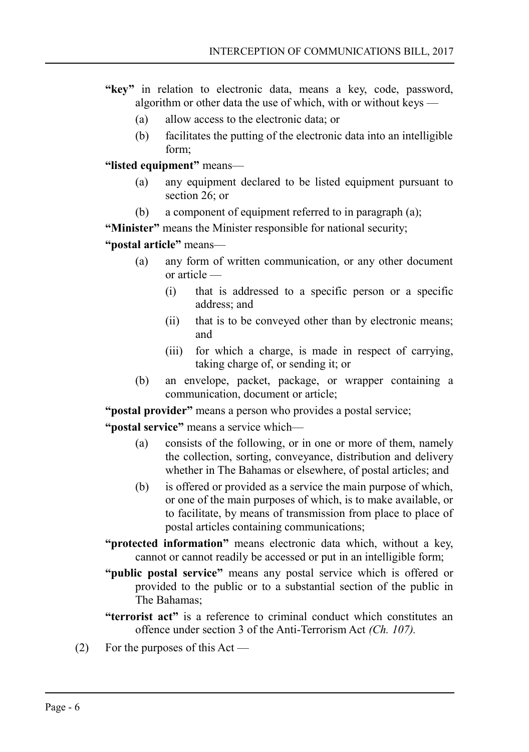- **"key"** in relation to electronic data, means a key, code, password, algorithm or other data the use of which, with or without keys —
	- (a) allow access to the electronic data; or
	- (b) facilitates the putting of the electronic data into an intelligible form;

**"listed equipment"** means—

- (a) any equipment declared to be listed equipment pursuant to section 26; or
- (b) a component of equipment referred to in paragraph (a);

**"Minister"** means the Minister responsible for national security;

**"postal article"** means—

- (a) any form of written communication, or any other document or article —
	- (i) that is addressed to a specific person or a specific address; and
	- (ii) that is to be conveyed other than by electronic means; and
	- (iii) for which a charge, is made in respect of carrying, taking charge of, or sending it; or
- (b) an envelope, packet, package, or wrapper containing a communication, document or article;

**"postal provider"** means a person who provides a postal service;

**"postal service"** means a service which—

- (a) consists of the following, or in one or more of them, namely the collection, sorting, conveyance, distribution and delivery whether in The Bahamas or elsewhere, of postal articles; and
- (b) is offered or provided as a service the main purpose of which, or one of the main purposes of which, is to make available, or to facilitate, by means of transmission from place to place of postal articles containing communications;
- **"protected information"** means electronic data which, without a key, cannot or cannot readily be accessed or put in an intelligible form;
- **"public postal service"** means any postal service which is offered or provided to the public or to a substantial section of the public in The Bahamas;
- **"terrorist act"** is a reference to criminal conduct which constitutes an offence under section 3 of the Anti-Terrorism Act *(Ch. 107).*
- (2) For the purposes of this Act —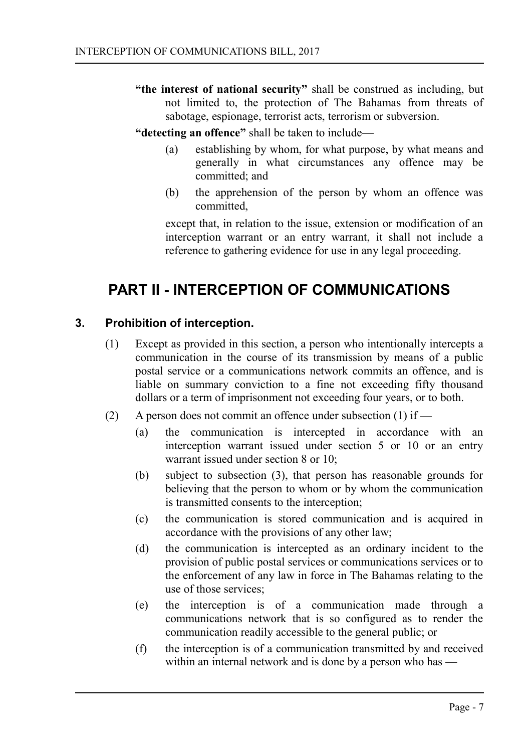**"the interest of national security"** shall be construed as including, but not limited to, the protection of The Bahamas from threats of sabotage, espionage, terrorist acts, terrorism or subversion.

## **"detecting an offence"** shall be taken to include—

- (a) establishing by whom, for what purpose, by what means and generally in what circumstances any offence may be committed; and
- (b) the apprehension of the person by whom an offence was committed,

except that, in relation to the issue, extension or modification of an interception warrant or an entry warrant, it shall not include a reference to gathering evidence for use in any legal proceeding.

## <span id="page-6-1"></span>**PART II - INTERCEPTION OF COMMUNICATIONS**

#### **3. Prohibition of interception.**

- <span id="page-6-0"></span>(1) Except as provided in this section, a person who intentionally intercepts a communication in the course of its transmission by means of a public postal service or a communications network commits an offence, and is liable on summary conviction to a fine not exceeding fifty thousand dollars or a term of imprisonment not exceeding four years, or to both.
- (2) A person does not commit an offence under subsection (1) if
	- (a) the communication is intercepted in accordance with an interception warrant issued under section 5 or 10 or an entry warrant issued under section 8 or 10;
	- (b) subject to subsection (3), that person has reasonable grounds for believing that the person to whom or by whom the communication is transmitted consents to the interception;
	- (c) the communication is stored communication and is acquired in accordance with the provisions of any other law;
	- (d) the communication is intercepted as an ordinary incident to the provision of public postal services or communications services or to the enforcement of any law in force in The Bahamas relating to the use of those services;
	- (e) the interception is of a communication made through a communications network that is so configured as to render the communication readily accessible to the general public; or
	- (f) the interception is of a communication transmitted by and received within an internal network and is done by a person who has —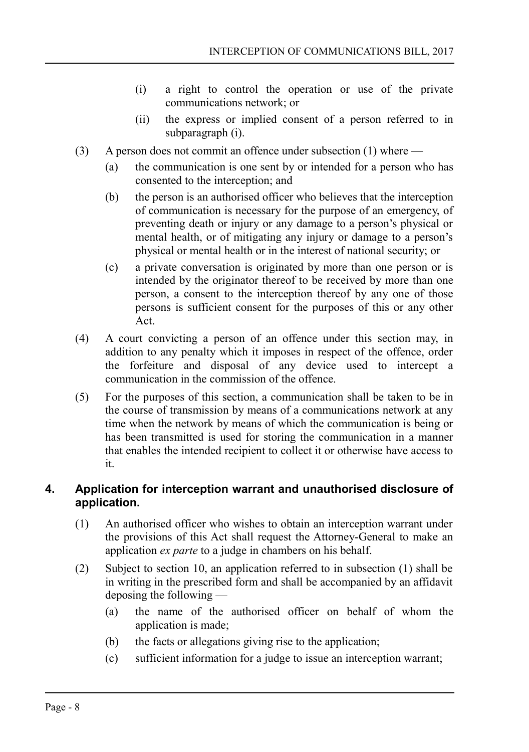- (i) a right to control the operation or use of the private communications network; or
- (ii) the express or implied consent of a person referred to in subparagraph (i).
- (3) A person does not commit an offence under subsection (1) where
	- (a) the communication is one sent by or intended for a person who has consented to the interception; and
	- (b) the person is an authorised officer who believes that the interception of communication is necessary for the purpose of an emergency, of preventing death or injury or any damage to a person's physical or mental health, or of mitigating any injury or damage to a person's physical or mental health or in the interest of national security; or
	- (c) a private conversation is originated by more than one person or is intended by the originator thereof to be received by more than one person, a consent to the interception thereof by any one of those persons is sufficient consent for the purposes of this or any other Act.
- (4) A court convicting a person of an offence under this section may, in addition to any penalty which it imposes in respect of the offence, order the forfeiture and disposal of any device used to intercept a communication in the commission of the offence.
- (5) For the purposes of this section, a communication shall be taken to be in the course of transmission by means of a communications network at any time when the network by means of which the communication is being or has been transmitted is used for storing the communication in a manner that enables the intended recipient to collect it or otherwise have access to it.

## <span id="page-7-0"></span>**4. Application for interception warrant and unauthorised disclosure of application.**

- (1) An authorised officer who wishes to obtain an interception warrant under the provisions of this Act shall request the Attorney-General to make an application *ex parte* to a judge in chambers on his behalf.
- (2) Subject to section 10, an application referred to in subsection (1) shall be in writing in the prescribed form and shall be accompanied by an affidavit deposing the following —
	- (a) the name of the authorised officer on behalf of whom the application is made;
	- (b) the facts or allegations giving rise to the application;
	- (c) sufficient information for a judge to issue an interception warrant;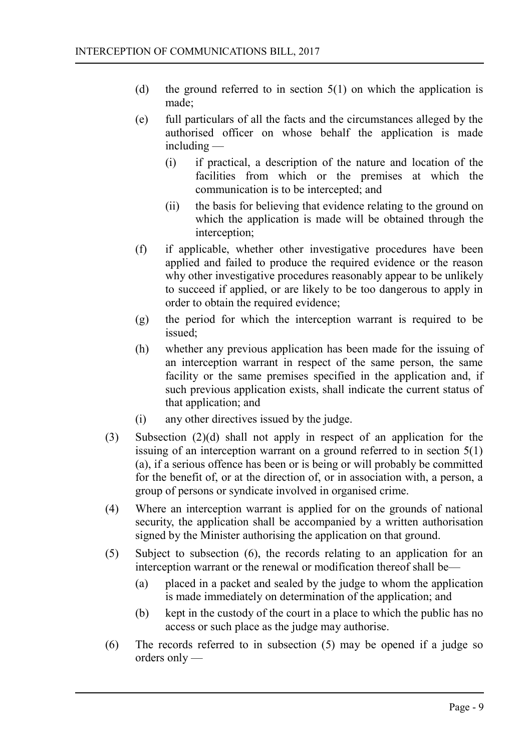- (d) the ground referred to in section  $5(1)$  on which the application is made;
- (e) full particulars of all the facts and the circumstances alleged by the authorised officer on whose behalf the application is made including —
	- (i) if practical, a description of the nature and location of the facilities from which or the premises at which the communication is to be intercepted; and
	- (ii) the basis for believing that evidence relating to the ground on which the application is made will be obtained through the interception;
- (f) if applicable, whether other investigative procedures have been applied and failed to produce the required evidence or the reason why other investigative procedures reasonably appear to be unlikely to succeed if applied, or are likely to be too dangerous to apply in order to obtain the required evidence;
- (g) the period for which the interception warrant is required to be issued;
- (h) whether any previous application has been made for the issuing of an interception warrant in respect of the same person, the same facility or the same premises specified in the application and, if such previous application exists, shall indicate the current status of that application; and
- (i) any other directives issued by the judge.
- (3) Subsection (2)(d) shall not apply in respect of an application for the issuing of an interception warrant on a ground referred to in section  $5(1)$ (a), if a serious offence has been or is being or will probably be committed for the benefit of, or at the direction of, or in association with, a person, a group of persons or syndicate involved in organised crime.
- (4) Where an interception warrant is applied for on the grounds of national security, the application shall be accompanied by a written authorisation signed by the Minister authorising the application on that ground.
- (5) Subject to subsection (6), the records relating to an application for an interception warrant or the renewal or modification thereof shall be—
	- (a) placed in a packet and sealed by the judge to whom the application is made immediately on determination of the application; and
	- (b) kept in the custody of the court in a place to which the public has no access or such place as the judge may authorise.
- (6) The records referred to in subsection (5) may be opened if a judge so orders only —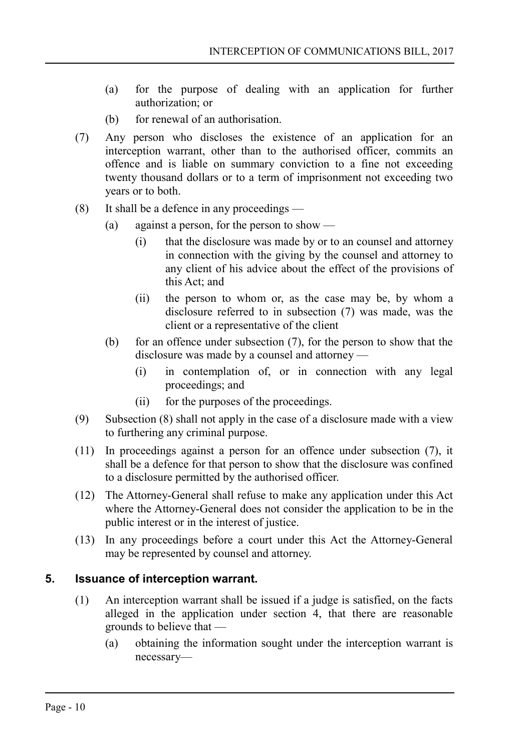- (a) for the purpose of dealing with an application for further authorization; or
- (b) for renewal of an authorisation.
- (7) Any person who discloses the existence of an application for an interception warrant, other than to the authorised officer, commits an offence and is liable on summary conviction to a fine not exceeding twenty thousand dollars or to a term of imprisonment not exceeding two years or to both.
- (8) It shall be a defence in any proceedings
	- (a) against a person, for the person to show
		- (i) that the disclosure was made by or to an counsel and attorney in connection with the giving by the counsel and attorney to any client of his advice about the effect of the provisions of this Act; and
		- (ii) the person to whom or, as the case may be, by whom a disclosure referred to in subsection (7) was made, was the client or a representative of the client
	- (b) for an offence under subsection (7), for the person to show that the disclosure was made by a counsel and attorney —
		- (i) in contemplation of, or in connection with any legal proceedings; and
		- (ii) for the purposes of the proceedings.
- (9) Subsection (8) shall not apply in the case of a disclosure made with a view to furthering any criminal purpose.
- (11) In proceedings against a person for an offence under subsection (7), it shall be a defence for that person to show that the disclosure was confined to a disclosure permitted by the authorised officer.
- (12) The Attorney-General shall refuse to make any application under this Act where the Attorney-General does not consider the application to be in the public interest or in the interest of justice.
- (13) In any proceedings before a court under this Act the Attorney-General may be represented by counsel and attorney.

#### **5. Issuance of interception warrant.**

- <span id="page-9-0"></span>(1) An interception warrant shall be issued if a judge is satisfied, on the facts alleged in the application under section 4, that there are reasonable grounds to believe that —
	- (a) obtaining the information sought under the interception warrant is necessary—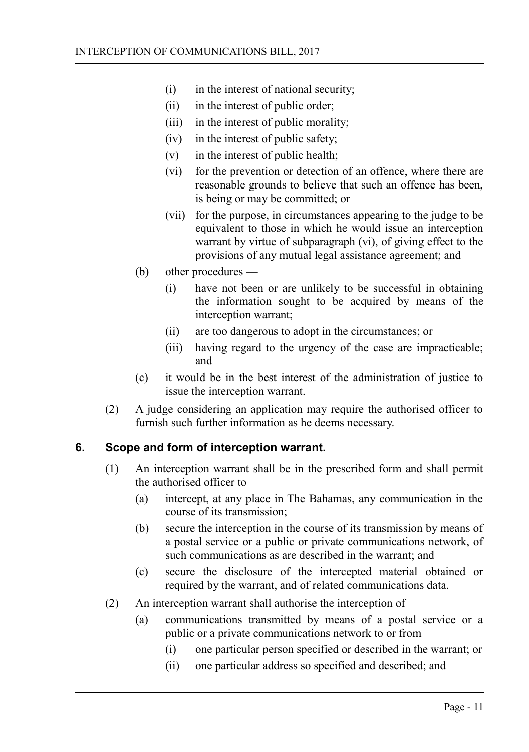- (i) in the interest of national security;
- (ii) in the interest of public order;
- (iii) in the interest of public morality;
- (iv) in the interest of public safety;
- (v) in the interest of public health;
- (vi) for the prevention or detection of an offence, where there are reasonable grounds to believe that such an offence has been, is being or may be committed; or
- (vii) for the purpose, in circumstances appearing to the judge to be equivalent to those in which he would issue an interception warrant by virtue of subparagraph (vi), of giving effect to the provisions of any mutual legal assistance agreement; and
- (b) other procedures
	- (i) have not been or are unlikely to be successful in obtaining the information sought to be acquired by means of the interception warrant;
	- (ii) are too dangerous to adopt in the circumstances; or
	- (iii) having regard to the urgency of the case are impracticable; and
- (c) it would be in the best interest of the administration of justice to issue the interception warrant.
- (2) A judge considering an application may require the authorised officer to furnish such further information as he deems necessary.

## **6. Scope and form of interception warrant.**

- <span id="page-10-0"></span>(1) An interception warrant shall be in the prescribed form and shall permit the authorised officer to —
	- (a) intercept, at any place in The Bahamas, any communication in the course of its transmission;
	- (b) secure the interception in the course of its transmission by means of a postal service or a public or private communications network, of such communications as are described in the warrant; and
	- (c) secure the disclosure of the intercepted material obtained or required by the warrant, and of related communications data.
- (2) An interception warrant shall authorise the interception of
	- (a) communications transmitted by means of a postal service or a public or a private communications network to or from —
		- (i) one particular person specified or described in the warrant; or
		- (ii) one particular address so specified and described; and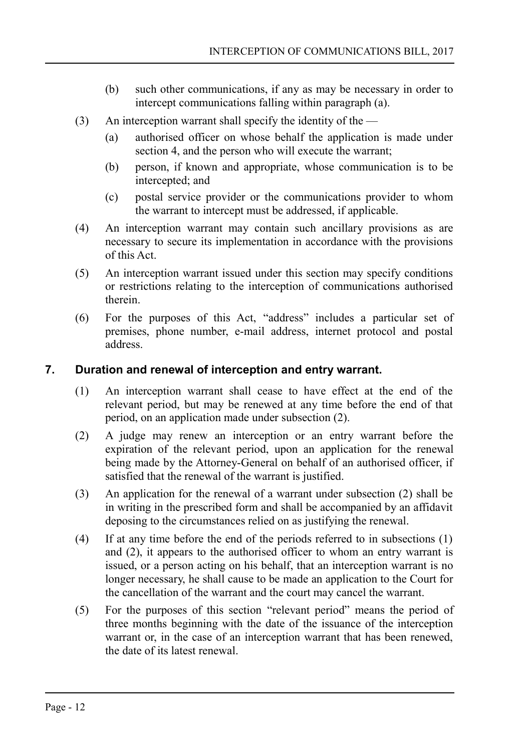- (b) such other communications, if any as may be necessary in order to intercept communications falling within paragraph (a).
- (3) An interception warrant shall specify the identity of the
	- (a) authorised officer on whose behalf the application is made under section 4, and the person who will execute the warrant;
	- (b) person, if known and appropriate, whose communication is to be intercepted; and
	- (c) postal service provider or the communications provider to whom the warrant to intercept must be addressed, if applicable.
- (4) An interception warrant may contain such ancillary provisions as are necessary to secure its implementation in accordance with the provisions of this Act.
- (5) An interception warrant issued under this section may specify conditions or restrictions relating to the interception of communications authorised therein.
- (6) For the purposes of this Act, "address" includes a particular set of premises, phone number, e-mail address, internet protocol and postal address.

## **7. Duration and renewal of interception and entry warrant.**

- <span id="page-11-0"></span>(1) An interception warrant shall cease to have effect at the end of the relevant period, but may be renewed at any time before the end of that period, on an application made under subsection (2).
- (2) A judge may renew an interception or an entry warrant before the expiration of the relevant period, upon an application for the renewal being made by the Attorney-General on behalf of an authorised officer, if satisfied that the renewal of the warrant is justified.
- (3) An application for the renewal of a warrant under subsection (2) shall be in writing in the prescribed form and shall be accompanied by an affidavit deposing to the circumstances relied on as justifying the renewal.
- (4) If at any time before the end of the periods referred to in subsections (1) and (2), it appears to the authorised officer to whom an entry warrant is issued, or a person acting on his behalf, that an interception warrant is no longer necessary, he shall cause to be made an application to the Court for the cancellation of the warrant and the court may cancel the warrant.
- (5) For the purposes of this section "relevant period" means the period of three months beginning with the date of the issuance of the interception warrant or, in the case of an interception warrant that has been renewed, the date of its latest renewal.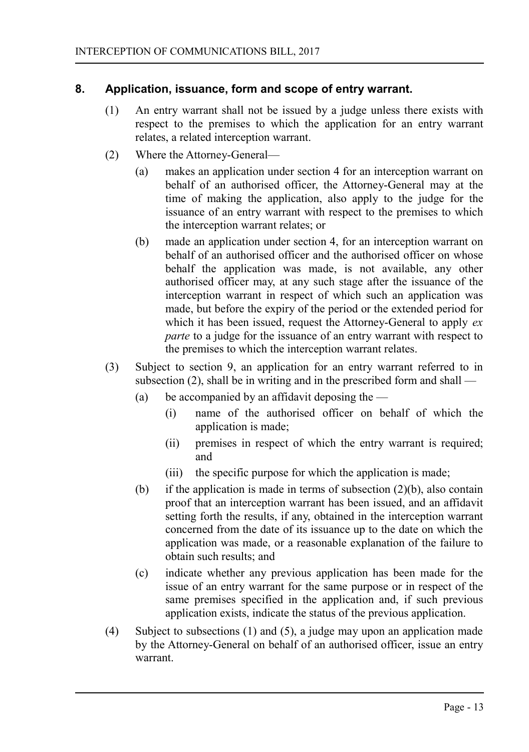## **8. Application, issuance, form and scope of entry warrant.**

- <span id="page-12-0"></span>(1) An entry warrant shall not be issued by a judge unless there exists with respect to the premises to which the application for an entry warrant relates, a related interception warrant.
- (2) Where the Attorney-General—
	- (a) makes an application under section 4 for an interception warrant on behalf of an authorised officer, the Attorney-General may at the time of making the application, also apply to the judge for the issuance of an entry warrant with respect to the premises to which the interception warrant relates; or
	- (b) made an application under section 4, for an interception warrant on behalf of an authorised officer and the authorised officer on whose behalf the application was made, is not available, any other authorised officer may, at any such stage after the issuance of the interception warrant in respect of which such an application was made, but before the expiry of the period or the extended period for which it has been issued, request the Attorney-General to apply *ex parte* to a judge for the issuance of an entry warrant with respect to the premises to which the interception warrant relates.
- (3) Subject to section 9, an application for an entry warrant referred to in subsection (2), shall be in writing and in the prescribed form and shall —
	- (a) be accompanied by an affidavit deposing the  $-$ 
		- (i) name of the authorised officer on behalf of which the application is made;
		- (ii) premises in respect of which the entry warrant is required; and
		- (iii) the specific purpose for which the application is made;
	- (b) if the application is made in terms of subsection  $(2)(b)$ , also contain proof that an interception warrant has been issued, and an affidavit setting forth the results, if any, obtained in the interception warrant concerned from the date of its issuance up to the date on which the application was made, or a reasonable explanation of the failure to obtain such results; and
	- (c) indicate whether any previous application has been made for the issue of an entry warrant for the same purpose or in respect of the same premises specified in the application and, if such previous application exists, indicate the status of the previous application.
- (4) Subject to subsections (1) and (5), a judge may upon an application made by the Attorney-General on behalf of an authorised officer, issue an entry warrant.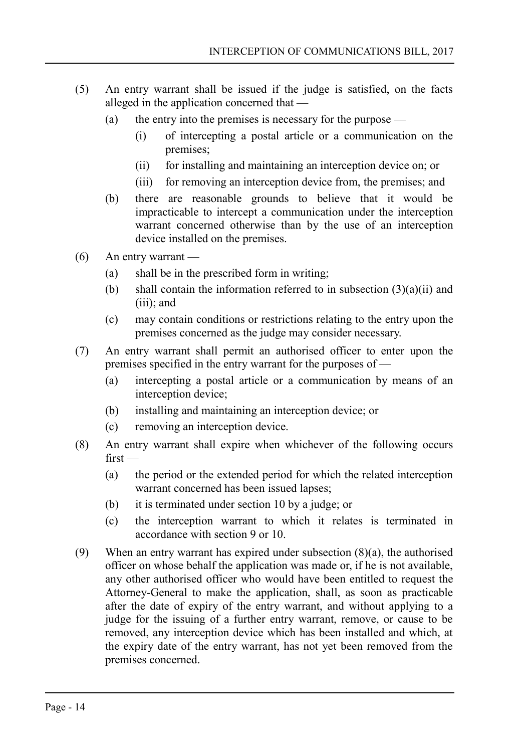- (5) An entry warrant shall be issued if the judge is satisfied, on the facts alleged in the application concerned that —
	- (a) the entry into the premises is necessary for the purpose  $-$ 
		- (i) of intercepting a postal article or a communication on the premises;
		- (ii) for installing and maintaining an interception device on; or
		- (iii) for removing an interception device from, the premises; and
	- (b) there are reasonable grounds to believe that it would be impracticable to intercept a communication under the interception warrant concerned otherwise than by the use of an interception device installed on the premises.
- (6) An entry warrant
	- (a) shall be in the prescribed form in writing;
	- (b) shall contain the information referred to in subsection  $(3)(a)(ii)$  and (iii); and
	- (c) may contain conditions or restrictions relating to the entry upon the premises concerned as the judge may consider necessary.
- (7) An entry warrant shall permit an authorised officer to enter upon the premises specified in the entry warrant for the purposes of —
	- (a) intercepting a postal article or a communication by means of an interception device;
	- (b) installing and maintaining an interception device; or
	- (c) removing an interception device.
- (8) An entry warrant shall expire when whichever of the following occurs  $first -$ 
	- (a) the period or the extended period for which the related interception warrant concerned has been issued lapses;
	- (b) it is terminated under section 10 by a judge; or
	- (c) the interception warrant to which it relates is terminated in accordance with section 9 or 10.
- (9) When an entry warrant has expired under subsection (8)(a), the authorised officer on whose behalf the application was made or, if he is not available, any other authorised officer who would have been entitled to request the Attorney-General to make the application, shall, as soon as practicable after the date of expiry of the entry warrant, and without applying to a judge for the issuing of a further entry warrant, remove, or cause to be removed, any interception device which has been installed and which, at the expiry date of the entry warrant, has not yet been removed from the premises concerned.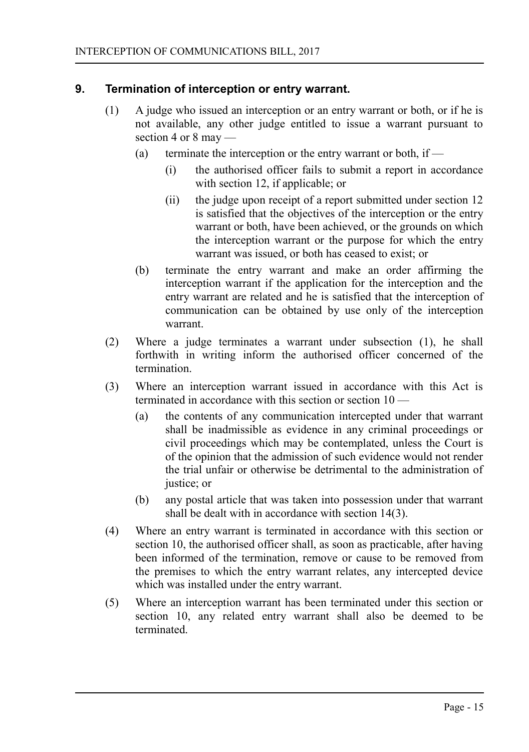## **9. Termination of interception or entry warrant.**

- <span id="page-14-0"></span>(1) A judge who issued an interception or an entry warrant or both, or if he is not available, any other judge entitled to issue a warrant pursuant to section 4 or 8 may —
	- (a) terminate the interception or the entry warrant or both, if  $-$ 
		- (i) the authorised officer fails to submit a report in accordance with section 12, if applicable; or
		- (ii) the judge upon receipt of a report submitted under section 12 is satisfied that the objectives of the interception or the entry warrant or both, have been achieved, or the grounds on which the interception warrant or the purpose for which the entry warrant was issued, or both has ceased to exist; or
	- (b) terminate the entry warrant and make an order affirming the interception warrant if the application for the interception and the entry warrant are related and he is satisfied that the interception of communication can be obtained by use only of the interception warrant.
- (2) Where a judge terminates a warrant under subsection (1), he shall forthwith in writing inform the authorised officer concerned of the termination.
- (3) Where an interception warrant issued in accordance with this Act is terminated in accordance with this section or section 10 —
	- (a) the contents of any communication intercepted under that warrant shall be inadmissible as evidence in any criminal proceedings or civil proceedings which may be contemplated, unless the Court is of the opinion that the admission of such evidence would not render the trial unfair or otherwise be detrimental to the administration of justice; or
	- (b) any postal article that was taken into possession under that warrant shall be dealt with in accordance with section 14(3).
- (4) Where an entry warrant is terminated in accordance with this section or section 10, the authorised officer shall, as soon as practicable, after having been informed of the termination, remove or cause to be removed from the premises to which the entry warrant relates, any intercepted device which was installed under the entry warrant.
- (5) Where an interception warrant has been terminated under this section or section 10, any related entry warrant shall also be deemed to be terminated.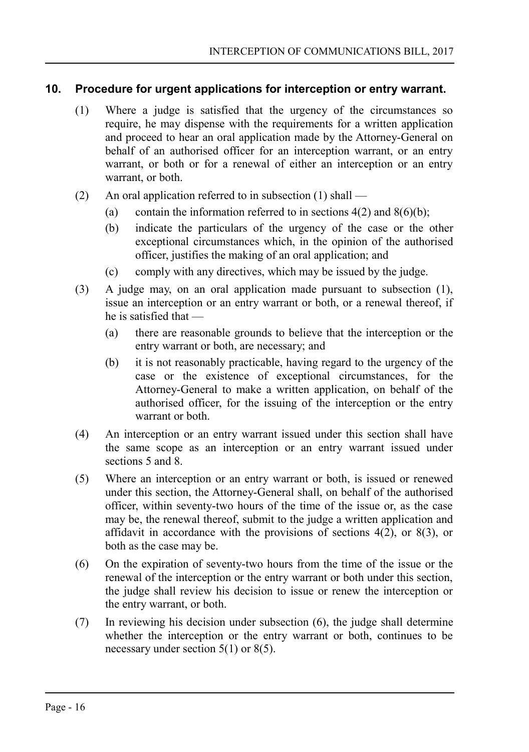## **10. Procedure for urgent applications for interception or entry warrant.**

- <span id="page-15-0"></span>(1) Where a judge is satisfied that the urgency of the circumstances so require, he may dispense with the requirements for a written application and proceed to hear an oral application made by the Attorney-General on behalf of an authorised officer for an interception warrant, or an entry warrant, or both or for a renewal of either an interception or an entry warrant, or both.
- (2) An oral application referred to in subsection  $(1)$  shall
	- (a) contain the information referred to in sections  $4(2)$  and  $8(6)(b)$ ;
	- (b) indicate the particulars of the urgency of the case or the other exceptional circumstances which, in the opinion of the authorised officer, justifies the making of an oral application; and
	- (c) comply with any directives, which may be issued by the judge.
- (3) A judge may, on an oral application made pursuant to subsection (1), issue an interception or an entry warrant or both, or a renewal thereof, if he is satisfied that —
	- (a) there are reasonable grounds to believe that the interception or the entry warrant or both, are necessary; and
	- (b) it is not reasonably practicable, having regard to the urgency of the case or the existence of exceptional circumstances, for the Attorney-General to make a written application, on behalf of the authorised officer, for the issuing of the interception or the entry warrant or both.
- (4) An interception or an entry warrant issued under this section shall have the same scope as an interception or an entry warrant issued under sections 5 and 8.
- (5) Where an interception or an entry warrant or both, is issued or renewed under this section, the Attorney-General shall, on behalf of the authorised officer, within seventy-two hours of the time of the issue or, as the case may be, the renewal thereof, submit to the judge a written application and affidavit in accordance with the provisions of sections 4(2), or 8(3), or both as the case may be.
- (6) On the expiration of seventy-two hours from the time of the issue or the renewal of the interception or the entry warrant or both under this section, the judge shall review his decision to issue or renew the interception or the entry warrant, or both.
- (7) In reviewing his decision under subsection (6), the judge shall determine whether the interception or the entry warrant or both, continues to be necessary under section 5(1) or 8(5).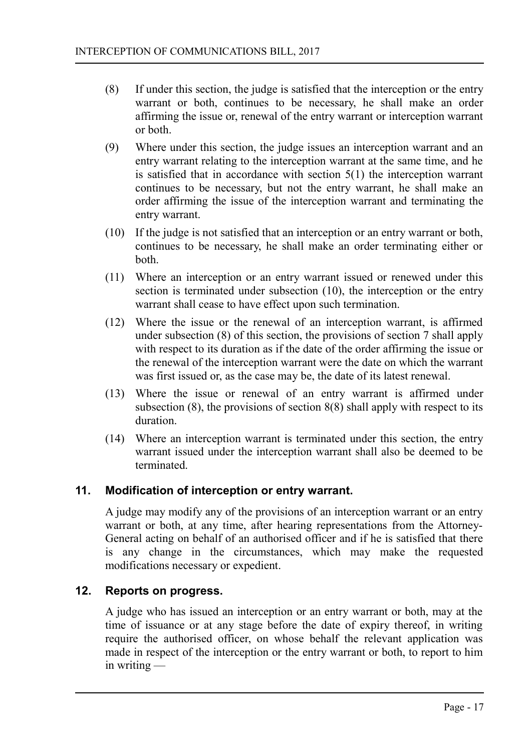- (8) If under this section, the judge is satisfied that the interception or the entry warrant or both, continues to be necessary, he shall make an order affirming the issue or, renewal of the entry warrant or interception warrant or both.
- (9) Where under this section, the judge issues an interception warrant and an entry warrant relating to the interception warrant at the same time, and he is satisfied that in accordance with section 5(1) the interception warrant continues to be necessary, but not the entry warrant, he shall make an order affirming the issue of the interception warrant and terminating the entry warrant.
- (10) If the judge is not satisfied that an interception or an entry warrant or both, continues to be necessary, he shall make an order terminating either or both.
- (11) Where an interception or an entry warrant issued or renewed under this section is terminated under subsection (10), the interception or the entry warrant shall cease to have effect upon such termination.
- (12) Where the issue or the renewal of an interception warrant, is affirmed under subsection (8) of this section, the provisions of section 7 shall apply with respect to its duration as if the date of the order affirming the issue or the renewal of the interception warrant were the date on which the warrant was first issued or, as the case may be, the date of its latest renewal.
- (13) Where the issue or renewal of an entry warrant is affirmed under subsection (8), the provisions of section 8(8) shall apply with respect to its duration.
- (14) Where an interception warrant is terminated under this section, the entry warrant issued under the interception warrant shall also be deemed to be terminated.

## **11. Modification of interception or entry warrant.**

<span id="page-16-1"></span>A judge may modify any of the provisions of an interception warrant or an entry warrant or both, at any time, after hearing representations from the Attorney-General acting on behalf of an authorised officer and if he is satisfied that there is any change in the circumstances, which may make the requested modifications necessary or expedient.

#### **12. Reports on progress.**

<span id="page-16-0"></span>A judge who has issued an interception or an entry warrant or both, may at the time of issuance or at any stage before the date of expiry thereof, in writing require the authorised officer, on whose behalf the relevant application was made in respect of the interception or the entry warrant or both, to report to him in writing —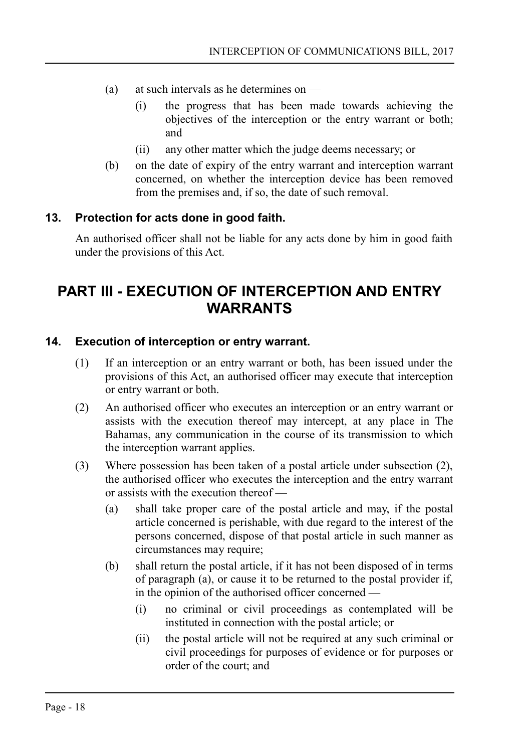- (a) at such intervals as he determines on
	- (i) the progress that has been made towards achieving the objectives of the interception or the entry warrant or both; and
	- (ii) any other matter which the judge deems necessary; or
- (b) on the date of expiry of the entry warrant and interception warrant concerned, on whether the interception device has been removed from the premises and, if so, the date of such removal.

## **13. Protection for acts done in good faith.**

<span id="page-17-2"></span>An authorised officer shall not be liable for any acts done by him in good faith under the provisions of this Act.

## <span id="page-17-1"></span>**PART III - EXECUTION OF INTERCEPTION AND ENTRY WARRANTS**

#### **14. Execution of interception or entry warrant.**

- <span id="page-17-0"></span>(1) If an interception or an entry warrant or both, has been issued under the provisions of this Act, an authorised officer may execute that interception or entry warrant or both.
- (2) An authorised officer who executes an interception or an entry warrant or assists with the execution thereof may intercept, at any place in The Bahamas, any communication in the course of its transmission to which the interception warrant applies.
- (3) Where possession has been taken of a postal article under subsection (2), the authorised officer who executes the interception and the entry warrant or assists with the execution thereof —
	- (a) shall take proper care of the postal article and may, if the postal article concerned is perishable, with due regard to the interest of the persons concerned, dispose of that postal article in such manner as circumstances may require;
	- (b) shall return the postal article, if it has not been disposed of in terms of paragraph (a), or cause it to be returned to the postal provider if, in the opinion of the authorised officer concerned —
		- (i) no criminal or civil proceedings as contemplated will be instituted in connection with the postal article; or
		- (ii) the postal article will not be required at any such criminal or civil proceedings for purposes of evidence or for purposes or order of the court; and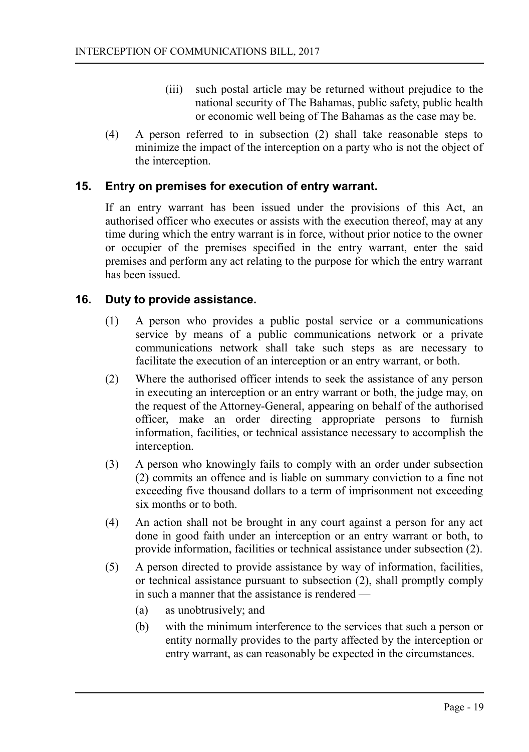- (iii) such postal article may be returned without prejudice to the national security of The Bahamas, public safety, public health or economic well being of The Bahamas as the case may be.
- (4) A person referred to in subsection (2) shall take reasonable steps to minimize the impact of the interception on a party who is not the object of the interception.

## **15. Entry on premises for execution of entry warrant.**

<span id="page-18-1"></span>If an entry warrant has been issued under the provisions of this Act, an authorised officer who executes or assists with the execution thereof, may at any time during which the entry warrant is in force, without prior notice to the owner or occupier of the premises specified in the entry warrant, enter the said premises and perform any act relating to the purpose for which the entry warrant has been issued.

## **16. Duty to provide assistance.**

- <span id="page-18-0"></span>(1) A person who provides a public postal service or a communications service by means of a public communications network or a private communications network shall take such steps as are necessary to facilitate the execution of an interception or an entry warrant, or both.
- (2) Where the authorised officer intends to seek the assistance of any person in executing an interception or an entry warrant or both, the judge may, on the request of the Attorney-General, appearing on behalf of the authorised officer, make an order directing appropriate persons to furnish information, facilities, or technical assistance necessary to accomplish the interception.
- (3) A person who knowingly fails to comply with an order under subsection (2) commits an offence and is liable on summary conviction to a fine not exceeding five thousand dollars to a term of imprisonment not exceeding six months or to both.
- (4) An action shall not be brought in any court against a person for any act done in good faith under an interception or an entry warrant or both, to provide information, facilities or technical assistance under subsection (2).
- (5) A person directed to provide assistance by way of information, facilities, or technical assistance pursuant to subsection (2), shall promptly comply in such a manner that the assistance is rendered —
	- (a) as unobtrusively; and
	- (b) with the minimum interference to the services that such a person or entity normally provides to the party affected by the interception or entry warrant, as can reasonably be expected in the circumstances.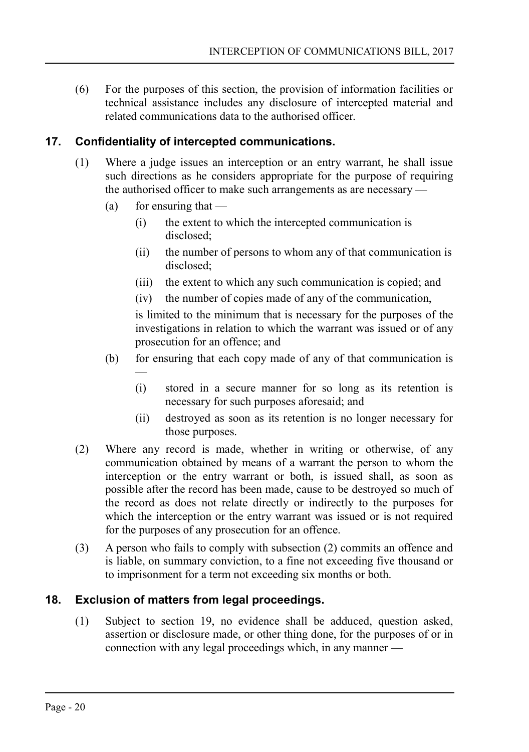(6) For the purposes of this section, the provision of information facilities or technical assistance includes any disclosure of intercepted material and related communications data to the authorised officer.

## **17. Confidentiality of intercepted communications.**

- <span id="page-19-1"></span>(1) Where a judge issues an interception or an entry warrant, he shall issue such directions as he considers appropriate for the purpose of requiring the authorised officer to make such arrangements as are necessary —
	- (a) for ensuring that  $-$

—

- (i) the extent to which the intercepted communication is disclosed;
- (ii) the number of persons to whom any of that communication is disclosed;
- (iii) the extent to which any such communication is copied; and
- (iv) the number of copies made of any of the communication,

is limited to the minimum that is necessary for the purposes of the investigations in relation to which the warrant was issued or of any prosecution for an offence; and

- (b) for ensuring that each copy made of any of that communication is
	- (i) stored in a secure manner for so long as its retention is necessary for such purposes aforesaid; and
	- (ii) destroyed as soon as its retention is no longer necessary for those purposes.
- (2) Where any record is made, whether in writing or otherwise, of any communication obtained by means of a warrant the person to whom the interception or the entry warrant or both, is issued shall, as soon as possible after the record has been made, cause to be destroyed so much of the record as does not relate directly or indirectly to the purposes for which the interception or the entry warrant was issued or is not required for the purposes of any prosecution for an offence.
- (3) A person who fails to comply with subsection (2) commits an offence and is liable, on summary conviction, to a fine not exceeding five thousand or to imprisonment for a term not exceeding six months or both.

## **18. Exclusion of matters from legal proceedings.**

<span id="page-19-0"></span>(1) Subject to section 19, no evidence shall be adduced, question asked, assertion or disclosure made, or other thing done, for the purposes of or in connection with any legal proceedings which, in any manner —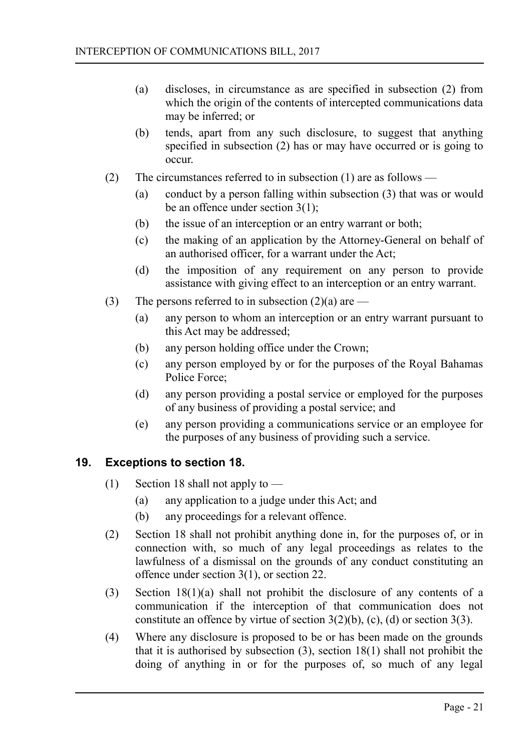- (a) discloses, in circumstance as are specified in subsection (2) from which the origin of the contents of intercepted communications data may be inferred; or
- (b) tends, apart from any such disclosure, to suggest that anything specified in subsection (2) has or may have occurred or is going to occur.
- (2) The circumstances referred to in subsection (1) are as follows
	- (a) conduct by a person falling within subsection (3) that was or would be an offence under section 3(1);
	- (b) the issue of an interception or an entry warrant or both;
	- (c) the making of an application by the Attorney-General on behalf of an authorised officer, for a warrant under the Act;
	- (d) the imposition of any requirement on any person to provide assistance with giving effect to an interception or an entry warrant.
- (3) The persons referred to in subsection  $(2)(a)$  are
	- (a) any person to whom an interception or an entry warrant pursuant to this Act may be addressed;
	- (b) any person holding office under the Crown;
	- (c) any person employed by or for the purposes of the Royal Bahamas Police Force;
	- (d) any person providing a postal service or employed for the purposes of any business of providing a postal service; and
	- (e) any person providing a communications service or an employee for the purposes of any business of providing such a service.

## **19. Exceptions to section 18.**

- <span id="page-20-0"></span>(1) Section 18 shall not apply to —
	- (a) any application to a judge under this Act; and
	- (b) any proceedings for a relevant offence.
- (2) Section 18 shall not prohibit anything done in, for the purposes of, or in connection with, so much of any legal proceedings as relates to the lawfulness of a dismissal on the grounds of any conduct constituting an offence under section 3(1), or section 22.
- (3) Section 18(1)(a) shall not prohibit the disclosure of any contents of a communication if the interception of that communication does not constitute an offence by virtue of section  $3(2)(b)$ , (c), (d) or section  $3(3)$ .
- (4) Where any disclosure is proposed to be or has been made on the grounds that it is authorised by subsection  $(3)$ , section  $18(1)$  shall not prohibit the doing of anything in or for the purposes of, so much of any legal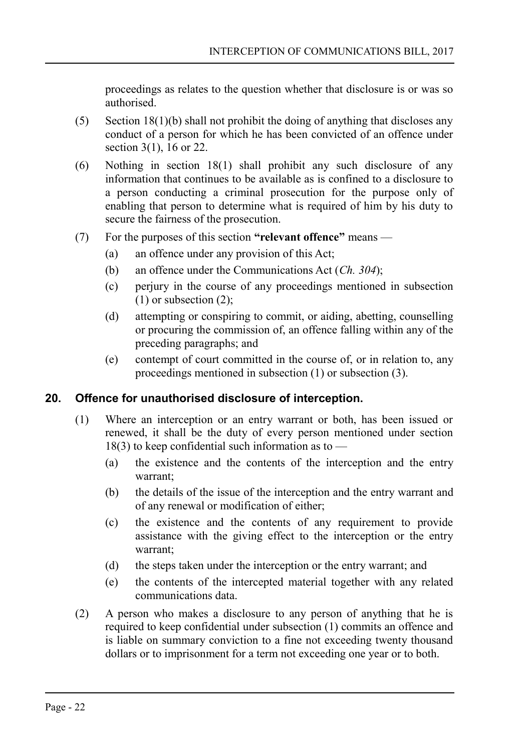proceedings as relates to the question whether that disclosure is or was so authorised.

- (5) Section 18(1)(b) shall not prohibit the doing of anything that discloses any conduct of a person for which he has been convicted of an offence under section  $3(1)$ ,  $16$  or 22.
- (6) Nothing in section 18(1) shall prohibit any such disclosure of any information that continues to be available as is confined to a disclosure to a person conducting a criminal prosecution for the purpose only of enabling that person to determine what is required of him by his duty to secure the fairness of the prosecution.
- (7) For the purposes of this section **"relevant offence"** means
	- (a) an offence under any provision of this Act;
	- (b) an offence under the Communications Act (*Ch. 304*);
	- (c) perjury in the course of any proceedings mentioned in subsection (1) or subsection (2);
	- (d) attempting or conspiring to commit, or aiding, abetting, counselling or procuring the commission of, an offence falling within any of the preceding paragraphs; and
	- (e) contempt of court committed in the course of, or in relation to, any proceedings mentioned in subsection (1) or subsection (3).

## **20. Offence for unauthorised disclosure of interception.**

- <span id="page-21-0"></span>(1) Where an interception or an entry warrant or both, has been issued or renewed, it shall be the duty of every person mentioned under section  $18(3)$  to keep confidential such information as to —
	- (a) the existence and the contents of the interception and the entry warrant;
	- (b) the details of the issue of the interception and the entry warrant and of any renewal or modification of either;
	- (c) the existence and the contents of any requirement to provide assistance with the giving effect to the interception or the entry warrant;
	- (d) the steps taken under the interception or the entry warrant; and
	- (e) the contents of the intercepted material together with any related communications data.
- (2) A person who makes a disclosure to any person of anything that he is required to keep confidential under subsection (1) commits an offence and is liable on summary conviction to a fine not exceeding twenty thousand dollars or to imprisonment for a term not exceeding one year or to both.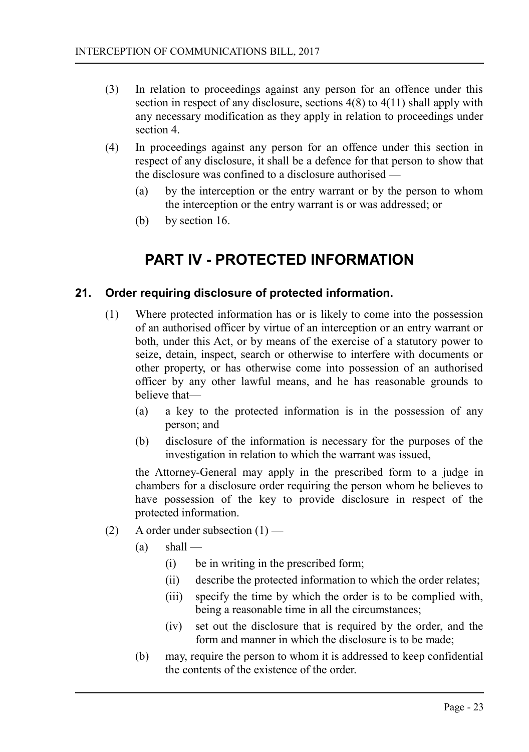- (3) In relation to proceedings against any person for an offence under this section in respect of any disclosure, sections 4(8) to 4(11) shall apply with any necessary modification as they apply in relation to proceedings under section 4.
- (4) In proceedings against any person for an offence under this section in respect of any disclosure, it shall be a defence for that person to show that the disclosure was confined to a disclosure authorised —
	- (a) by the interception or the entry warrant or by the person to whom the interception or the entry warrant is or was addressed; or
	- (b) by section 16.

## <span id="page-22-1"></span>**PART IV - PROTECTED INFORMATION**

## **21. Order requiring disclosure of protected information.**

- <span id="page-22-0"></span>(1) Where protected information has or is likely to come into the possession of an authorised officer by virtue of an interception or an entry warrant or both, under this Act, or by means of the exercise of a statutory power to seize, detain, inspect, search or otherwise to interfere with documents or other property, or has otherwise come into possession of an authorised officer by any other lawful means, and he has reasonable grounds to believe that—
	- (a) a key to the protected information is in the possession of any person; and
	- (b) disclosure of the information is necessary for the purposes of the investigation in relation to which the warrant was issued,

the Attorney-General may apply in the prescribed form to a judge in chambers for a disclosure order requiring the person whom he believes to have possession of the key to provide disclosure in respect of the protected information.

- (2) A order under subsection  $(1)$ 
	- $(a)$  shall
		- (i) be in writing in the prescribed form;
		- (ii) describe the protected information to which the order relates;
		- (iii) specify the time by which the order is to be complied with, being a reasonable time in all the circumstances;
		- (iv) set out the disclosure that is required by the order, and the form and manner in which the disclosure is to be made;
	- (b) may, require the person to whom it is addressed to keep confidential the contents of the existence of the order.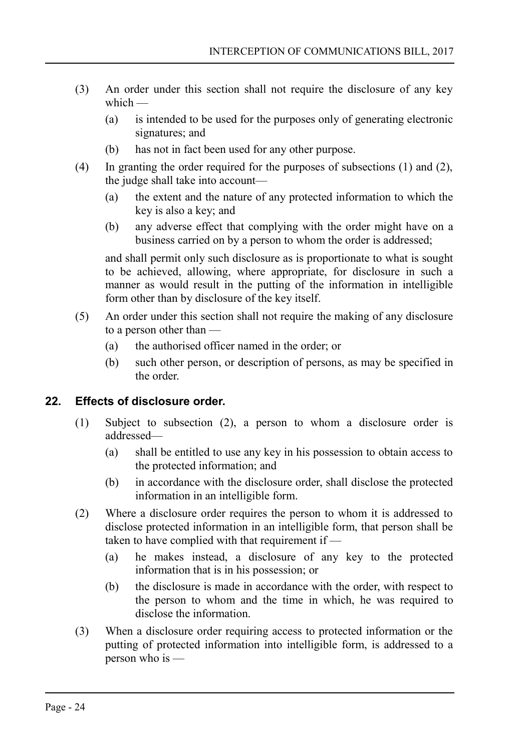- (3) An order under this section shall not require the disclosure of any key which  $-$ 
	- (a) is intended to be used for the purposes only of generating electronic signatures; and
	- (b) has not in fact been used for any other purpose.
- (4) In granting the order required for the purposes of subsections (1) and (2), the judge shall take into account—
	- (a) the extent and the nature of any protected information to which the key is also a key; and
	- (b) any adverse effect that complying with the order might have on a business carried on by a person to whom the order is addressed;

and shall permit only such disclosure as is proportionate to what is sought to be achieved, allowing, where appropriate, for disclosure in such a manner as would result in the putting of the information in intelligible form other than by disclosure of the key itself.

- (5) An order under this section shall not require the making of any disclosure to a person other than —
	- (a) the authorised officer named in the order; or
	- (b) such other person, or description of persons, as may be specified in the order.

## **22. Effects of disclosure order.**

- <span id="page-23-0"></span>(1) Subject to subsection (2), a person to whom a disclosure order is addressed—
	- (a) shall be entitled to use any key in his possession to obtain access to the protected information; and
	- (b) in accordance with the disclosure order, shall disclose the protected information in an intelligible form.
- (2) Where a disclosure order requires the person to whom it is addressed to disclose protected information in an intelligible form, that person shall be taken to have complied with that requirement if —
	- (a) he makes instead, a disclosure of any key to the protected information that is in his possession; or
	- (b) the disclosure is made in accordance with the order, with respect to the person to whom and the time in which, he was required to disclose the information.
- (3) When a disclosure order requiring access to protected information or the putting of protected information into intelligible form, is addressed to a person who is —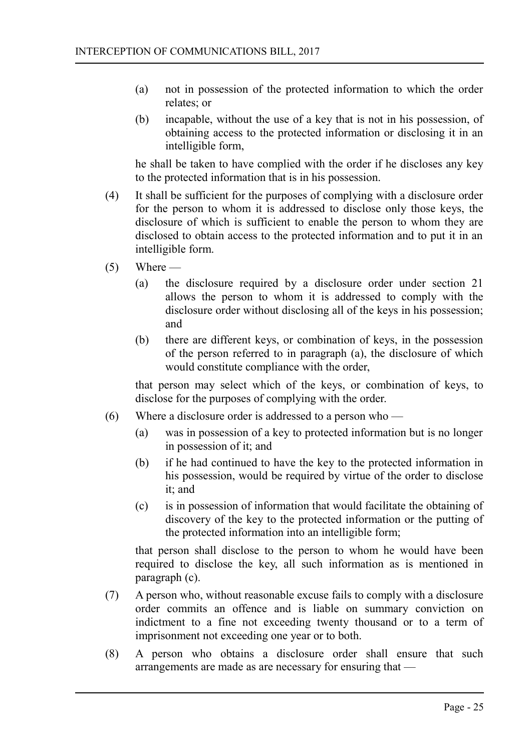- (a) not in possession of the protected information to which the order relates; or
- (b) incapable, without the use of a key that is not in his possession, of obtaining access to the protected information or disclosing it in an intelligible form,

he shall be taken to have complied with the order if he discloses any key to the protected information that is in his possession.

- (4) It shall be sufficient for the purposes of complying with a disclosure order for the person to whom it is addressed to disclose only those keys, the disclosure of which is sufficient to enable the person to whom they are disclosed to obtain access to the protected information and to put it in an intelligible form.
- $(5)$  Where
	- (a) the disclosure required by a disclosure order under section 21 allows the person to whom it is addressed to comply with the disclosure order without disclosing all of the keys in his possession; and
	- (b) there are different keys, or combination of keys, in the possession of the person referred to in paragraph (a), the disclosure of which would constitute compliance with the order,

that person may select which of the keys, or combination of keys, to disclose for the purposes of complying with the order.

- (6) Where a disclosure order is addressed to a person who  $-$ 
	- (a) was in possession of a key to protected information but is no longer in possession of it; and
	- (b) if he had continued to have the key to the protected information in his possession, would be required by virtue of the order to disclose it; and
	- (c) is in possession of information that would facilitate the obtaining of discovery of the key to the protected information or the putting of the protected information into an intelligible form;

that person shall disclose to the person to whom he would have been required to disclose the key, all such information as is mentioned in paragraph (c).

- (7) A person who, without reasonable excuse fails to comply with a disclosure order commits an offence and is liable on summary conviction on indictment to a fine not exceeding twenty thousand or to a term of imprisonment not exceeding one year or to both.
- (8) A person who obtains a disclosure order shall ensure that such arrangements are made as are necessary for ensuring that —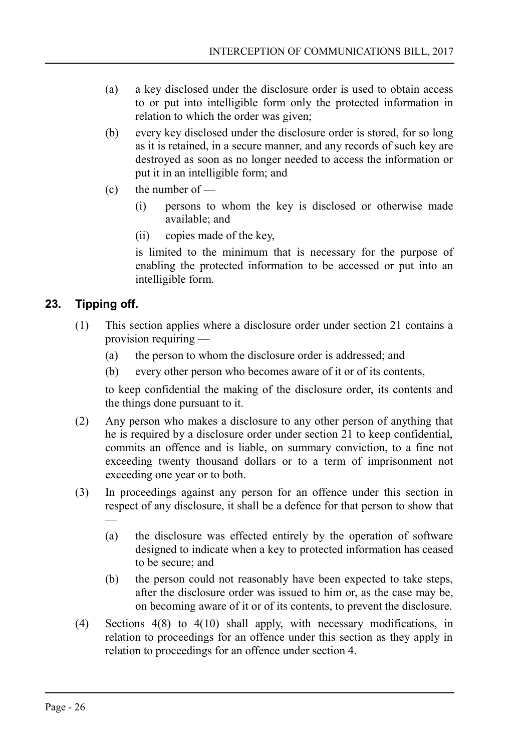- (a) a key disclosed under the disclosure order is used to obtain access to or put into intelligible form only the protected information in relation to which the order was given;
- (b) every key disclosed under the disclosure order is stored, for so long as it is retained, in a secure manner, and any records of such key are destroyed as soon as no longer needed to access the information or put it in an intelligible form; and
- $(c)$  the number of
	- (i) persons to whom the key is disclosed or otherwise made available; and
	- (ii) copies made of the key,

is limited to the minimum that is necessary for the purpose of enabling the protected information to be accessed or put into an intelligible form.

## **23. Tipping off.**

- <span id="page-25-0"></span>(1) This section applies where a disclosure order under section 21 contains a provision requiring —
	- (a) the person to whom the disclosure order is addressed; and
	- (b) every other person who becomes aware of it or of its contents,

to keep confidential the making of the disclosure order, its contents and the things done pursuant to it.

- (2) Any person who makes a disclosure to any other person of anything that he is required by a disclosure order under section 21 to keep confidential, commits an offence and is liable, on summary conviction, to a fine not exceeding twenty thousand dollars or to a term of imprisonment not exceeding one year or to both.
- (3) In proceedings against any person for an offence under this section in respect of any disclosure, it shall be a defence for that person to show that —
	- (a) the disclosure was effected entirely by the operation of software designed to indicate when a key to protected information has ceased to be secure; and
	- (b) the person could not reasonably have been expected to take steps, after the disclosure order was issued to him or, as the case may be, on becoming aware of it or of its contents, to prevent the disclosure.
- (4) Sections 4(8) to 4(10) shall apply, with necessary modifications, in relation to proceedings for an offence under this section as they apply in relation to proceedings for an offence under section 4.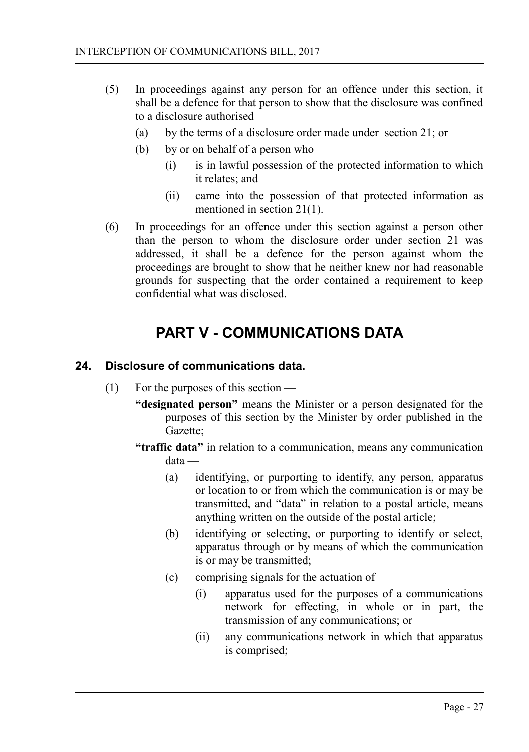- (5) In proceedings against any person for an offence under this section, it shall be a defence for that person to show that the disclosure was confined to a disclosure authorised —
	- (a) by the terms of a disclosure order made under section 21; or
	- (b) by or on behalf of a person who—
		- (i) is in lawful possession of the protected information to which it relates; and
		- (ii) came into the possession of that protected information as mentioned in section 21(1).
- (6) In proceedings for an offence under this section against a person other than the person to whom the disclosure order under section 21 was addressed, it shall be a defence for the person against whom the proceedings are brought to show that he neither knew nor had reasonable grounds for suspecting that the order contained a requirement to keep confidential what was disclosed.

## <span id="page-26-1"></span>**PART V - COMMUNICATIONS DATA**

## **24. Disclosure of communications data.**

- <span id="page-26-0"></span>(1) For the purposes of this section —
	- **"designated person"** means the Minister or a person designated for the purposes of this section by the Minister by order published in the Gazette;
	- **"traffic data"** in relation to a communication, means any communication data —
		- (a) identifying, or purporting to identify, any person, apparatus or location to or from which the communication is or may be transmitted, and "data" in relation to a postal article, means anything written on the outside of the postal article;
		- (b) identifying or selecting, or purporting to identify or select, apparatus through or by means of which the communication is or may be transmitted;
		- (c) comprising signals for the actuation of
			- (i) apparatus used for the purposes of a communications network for effecting, in whole or in part, the transmission of any communications; or
			- (ii) any communications network in which that apparatus is comprised;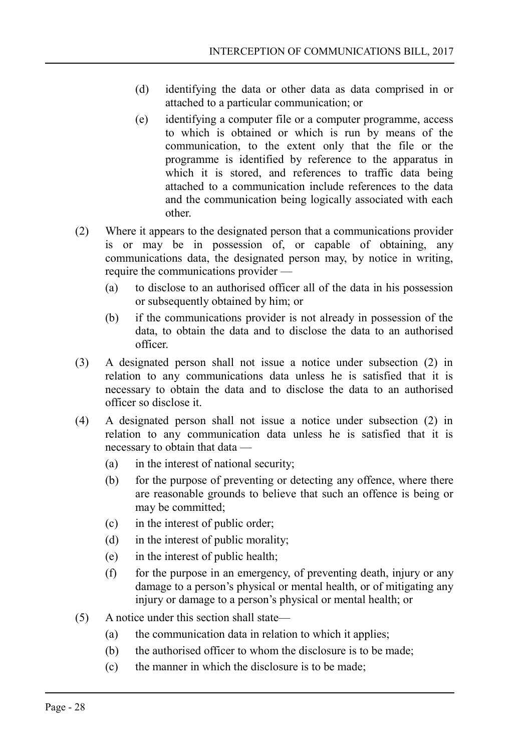- (d) identifying the data or other data as data comprised in or attached to a particular communication; or
- (e) identifying a computer file or a computer programme, access to which is obtained or which is run by means of the communication, to the extent only that the file or the programme is identified by reference to the apparatus in which it is stored, and references to traffic data being attached to a communication include references to the data and the communication being logically associated with each other.
- (2) Where it appears to the designated person that a communications provider is or may be in possession of, or capable of obtaining, any communications data, the designated person may, by notice in writing, require the communications provider —
	- (a) to disclose to an authorised officer all of the data in his possession or subsequently obtained by him; or
	- (b) if the communications provider is not already in possession of the data, to obtain the data and to disclose the data to an authorised officer.
- (3) A designated person shall not issue a notice under subsection (2) in relation to any communications data unless he is satisfied that it is necessary to obtain the data and to disclose the data to an authorised officer so disclose it.
- (4) A designated person shall not issue a notice under subsection (2) in relation to any communication data unless he is satisfied that it is necessary to obtain that data —
	- (a) in the interest of national security;
	- (b) for the purpose of preventing or detecting any offence, where there are reasonable grounds to believe that such an offence is being or may be committed;
	- (c) in the interest of public order;
	- (d) in the interest of public morality;
	- (e) in the interest of public health;
	- (f) for the purpose in an emergency, of preventing death, injury or any damage to a person's physical or mental health, or of mitigating any injury or damage to a person's physical or mental health; or
- (5) A notice under this section shall state—
	- (a) the communication data in relation to which it applies;
	- (b) the authorised officer to whom the disclosure is to be made;
	- (c) the manner in which the disclosure is to be made;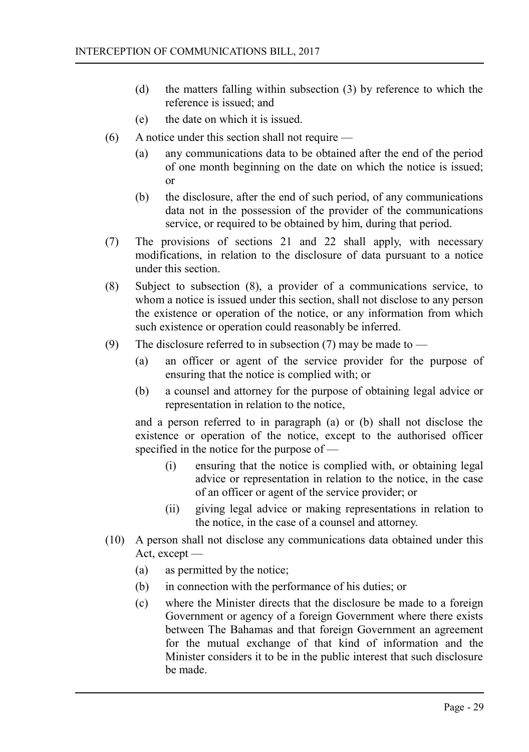- (d) the matters falling within subsection (3) by reference to which the reference is issued; and
- (e) the date on which it is issued.
- (6) A notice under this section shall not require
	- (a) any communications data to be obtained after the end of the period of one month beginning on the date on which the notice is issued; or
	- (b) the disclosure, after the end of such period, of any communications data not in the possession of the provider of the communications service, or required to be obtained by him, during that period.
- (7) The provisions of sections 21 and 22 shall apply, with necessary modifications, in relation to the disclosure of data pursuant to a notice under this section.
- (8) Subject to subsection (8), a provider of a communications service, to whom a notice is issued under this section, shall not disclose to any person the existence or operation of the notice, or any information from which such existence or operation could reasonably be inferred.
- (9) The disclosure referred to in subsection (7) may be made to
	- (a) an officer or agent of the service provider for the purpose of ensuring that the notice is complied with; or
	- (b) a counsel and attorney for the purpose of obtaining legal advice or representation in relation to the notice,

and a person referred to in paragraph (a) or (b) shall not disclose the existence or operation of the notice, except to the authorised officer specified in the notice for the purpose of —

- (i) ensuring that the notice is complied with, or obtaining legal advice or representation in relation to the notice, in the case of an officer or agent of the service provider; or
- (ii) giving legal advice or making representations in relation to the notice, in the case of a counsel and attorney.
- (10) A person shall not disclose any communications data obtained under this Act, except —
	- (a) as permitted by the notice;
	- (b) in connection with the performance of his duties; or
	- (c) where the Minister directs that the disclosure be made to a foreign Government or agency of a foreign Government where there exists between The Bahamas and that foreign Government an agreement for the mutual exchange of that kind of information and the Minister considers it to be in the public interest that such disclosure be made.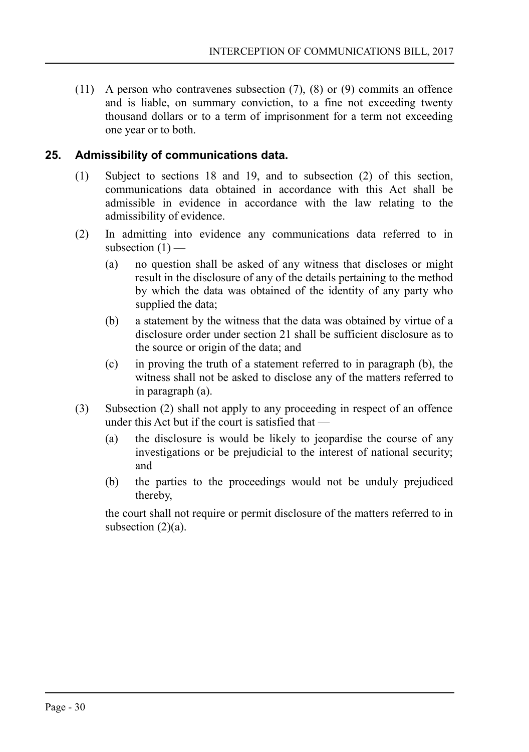(11) A person who contravenes subsection (7), (8) or (9) commits an offence and is liable, on summary conviction, to a fine not exceeding twenty thousand dollars or to a term of imprisonment for a term not exceeding one year or to both.

## **25. Admissibility of communications data.**

- <span id="page-29-0"></span>(1) Subject to sections 18 and 19, and to subsection (2) of this section, communications data obtained in accordance with this Act shall be admissible in evidence in accordance with the law relating to the admissibility of evidence.
- (2) In admitting into evidence any communications data referred to in subsection  $(1)$  —
	- (a) no question shall be asked of any witness that discloses or might result in the disclosure of any of the details pertaining to the method by which the data was obtained of the identity of any party who supplied the data;
	- (b) a statement by the witness that the data was obtained by virtue of a disclosure order under section 21 shall be sufficient disclosure as to the source or origin of the data; and
	- (c) in proving the truth of a statement referred to in paragraph (b), the witness shall not be asked to disclose any of the matters referred to in paragraph (a).
- (3) Subsection (2) shall not apply to any proceeding in respect of an offence under this Act but if the court is satisfied that —
	- (a) the disclosure is would be likely to jeopardise the course of any investigations or be prejudicial to the interest of national security; and
	- (b) the parties to the proceedings would not be unduly prejudiced thereby,

the court shall not require or permit disclosure of the matters referred to in subsection  $(2)(a)$ .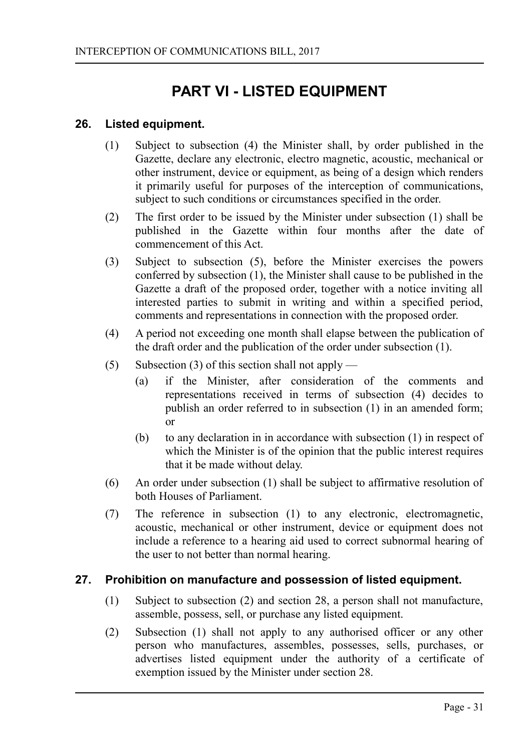# <span id="page-30-2"></span>**PART VI - LISTED EQUIPMENT**

## **26. Listed equipment.**

- <span id="page-30-1"></span>(1) Subject to subsection (4) the Minister shall, by order published in the Gazette, declare any electronic, electro magnetic, acoustic, mechanical or other instrument, device or equipment, as being of a design which renders it primarily useful for purposes of the interception of communications, subject to such conditions or circumstances specified in the order.
- (2) The first order to be issued by the Minister under subsection (1) shall be published in the Gazette within four months after the date of commencement of this Act.
- (3) Subject to subsection (5), before the Minister exercises the powers conferred by subsection (1), the Minister shall cause to be published in the Gazette a draft of the proposed order, together with a notice inviting all interested parties to submit in writing and within a specified period, comments and representations in connection with the proposed order.
- (4) A period not exceeding one month shall elapse between the publication of the draft order and the publication of the order under subsection (1).
- (5) Subsection (3) of this section shall not apply
	- (a) if the Minister, after consideration of the comments and representations received in terms of subsection (4) decides to publish an order referred to in subsection (1) in an amended form; or
	- (b) to any declaration in in accordance with subsection (1) in respect of which the Minister is of the opinion that the public interest requires that it be made without delay.
- (6) An order under subsection (1) shall be subject to affirmative resolution of both Houses of Parliament.
- (7) The reference in subsection (1) to any electronic, electromagnetic, acoustic, mechanical or other instrument, device or equipment does not include a reference to a hearing aid used to correct subnormal hearing of the user to not better than normal hearing.

#### **27. Prohibition on manufacture and possession of listed equipment.**

- <span id="page-30-0"></span>(1) Subject to subsection (2) and section 28, a person shall not manufacture, assemble, possess, sell, or purchase any listed equipment.
- (2) Subsection (1) shall not apply to any authorised officer or any other person who manufactures, assembles, possesses, sells, purchases, or advertises listed equipment under the authority of a certificate of exemption issued by the Minister under section 28.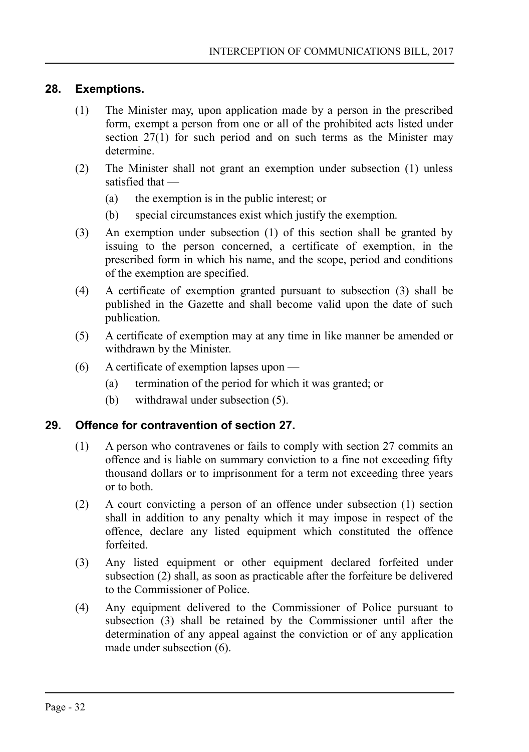## **28. Exemptions.**

- <span id="page-31-1"></span>(1) The Minister may, upon application made by a person in the prescribed form, exempt a person from one or all of the prohibited acts listed under section 27(1) for such period and on such terms as the Minister may determine.
- (2) The Minister shall not grant an exemption under subsection (1) unless satisfied that —
	- (a) the exemption is in the public interest; or
	- (b) special circumstances exist which justify the exemption.
- (3) An exemption under subsection (1) of this section shall be granted by issuing to the person concerned, a certificate of exemption, in the prescribed form in which his name, and the scope, period and conditions of the exemption are specified.
- (4) A certificate of exemption granted pursuant to subsection (3) shall be published in the Gazette and shall become valid upon the date of such publication.
- (5) A certificate of exemption may at any time in like manner be amended or withdrawn by the Minister.
- (6) A certificate of exemption lapses upon
	- (a) termination of the period for which it was granted; or
	- (b) withdrawal under subsection (5).

## **29. Offence for contravention of section 27.**

- <span id="page-31-0"></span>(1) A person who contravenes or fails to comply with section 27 commits an offence and is liable on summary conviction to a fine not exceeding fifty thousand dollars or to imprisonment for a term not exceeding three years or to both.
- (2) A court convicting a person of an offence under subsection (1) section shall in addition to any penalty which it may impose in respect of the offence, declare any listed equipment which constituted the offence forfeited.
- (3) Any listed equipment or other equipment declared forfeited under subsection (2) shall, as soon as practicable after the forfeiture be delivered to the Commissioner of Police.
- (4) Any equipment delivered to the Commissioner of Police pursuant to subsection (3) shall be retained by the Commissioner until after the determination of any appeal against the conviction or of any application made under subsection (6).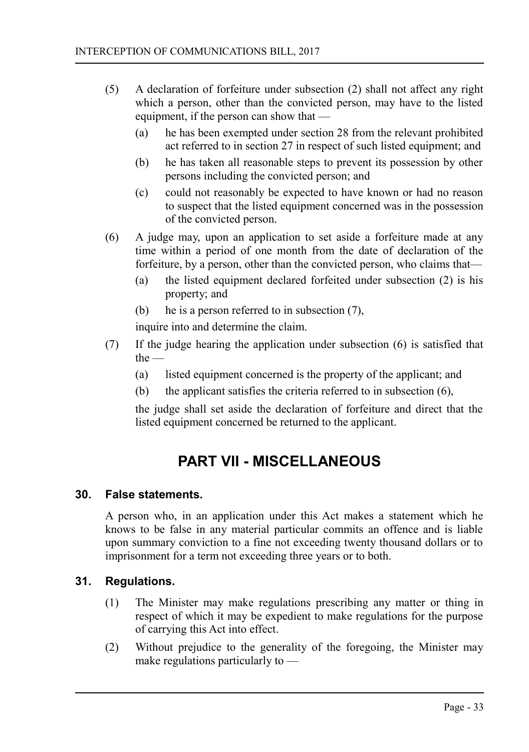- (5) A declaration of forfeiture under subsection (2) shall not affect any right which a person, other than the convicted person, may have to the listed equipment, if the person can show that —
	- (a) he has been exempted under section 28 from the relevant prohibited act referred to in section 27 in respect of such listed equipment; and
	- (b) he has taken all reasonable steps to prevent its possession by other persons including the convicted person; and
	- (c) could not reasonably be expected to have known or had no reason to suspect that the listed equipment concerned was in the possession of the convicted person.
- (6) A judge may, upon an application to set aside a forfeiture made at any time within a period of one month from the date of declaration of the forfeiture, by a person, other than the convicted person, who claims that—
	- (a) the listed equipment declared forfeited under subsection (2) is his property; and
	- (b) he is a person referred to in subsection (7),

inquire into and determine the claim.

- (7) If the judge hearing the application under subsection (6) is satisfied that the —
	- (a) listed equipment concerned is the property of the applicant; and
	- (b) the applicant satisfies the criteria referred to in subsection (6),

the judge shall set aside the declaration of forfeiture and direct that the listed equipment concerned be returned to the applicant.

# <span id="page-32-2"></span>**PART VII - MISCELLANEOUS**

#### **30. False statements.**

<span id="page-32-1"></span>A person who, in an application under this Act makes a statement which he knows to be false in any material particular commits an offence and is liable upon summary conviction to a fine not exceeding twenty thousand dollars or to imprisonment for a term not exceeding three years or to both.

## **31. Regulations.**

- <span id="page-32-0"></span>(1) The Minister may make regulations prescribing any matter or thing in respect of which it may be expedient to make regulations for the purpose of carrying this Act into effect.
- (2) Without prejudice to the generality of the foregoing, the Minister may make regulations particularly to —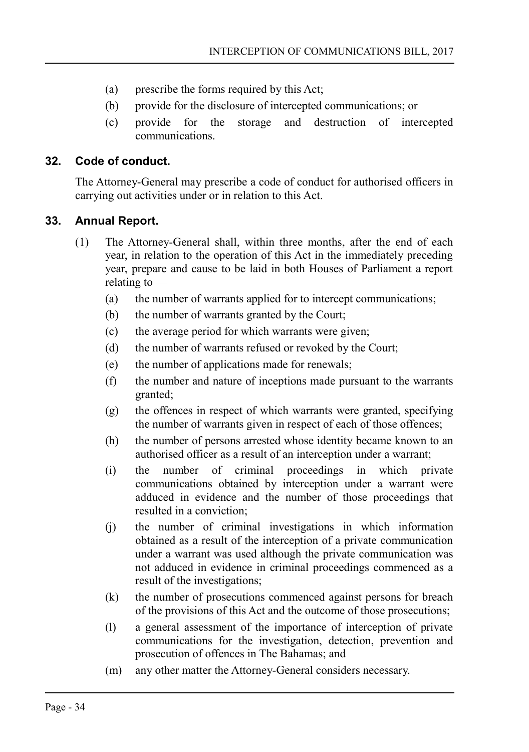- (a) prescribe the forms required by this Act;
- (b) provide for the disclosure of intercepted communications; or
- (c) provide for the storage and destruction of intercepted communications.

## **32. Code of conduct.**

<span id="page-33-1"></span>The Attorney-General may prescribe a code of conduct for authorised officers in carrying out activities under or in relation to this Act.

## **33. Annual Report.**

- <span id="page-33-0"></span>(1) The Attorney-General shall, within three months, after the end of each year, in relation to the operation of this Act in the immediately preceding year, prepare and cause to be laid in both Houses of Parliament a report relating to —
	- (a) the number of warrants applied for to intercept communications;
	- (b) the number of warrants granted by the Court;
	- (c) the average period for which warrants were given;
	- (d) the number of warrants refused or revoked by the Court;
	- (e) the number of applications made for renewals;
	- (f) the number and nature of inceptions made pursuant to the warrants granted;
	- (g) the offences in respect of which warrants were granted, specifying the number of warrants given in respect of each of those offences;
	- (h) the number of persons arrested whose identity became known to an authorised officer as a result of an interception under a warrant;
	- (i) the number of criminal proceedings in which private communications obtained by interception under a warrant were adduced in evidence and the number of those proceedings that resulted in a conviction;
	- (j) the number of criminal investigations in which information obtained as a result of the interception of a private communication under a warrant was used although the private communication was not adduced in evidence in criminal proceedings commenced as a result of the investigations;
	- (k) the number of prosecutions commenced against persons for breach of the provisions of this Act and the outcome of those prosecutions;
	- (l) a general assessment of the importance of interception of private communications for the investigation, detection, prevention and prosecution of offences in The Bahamas; and
	- (m) any other matter the Attorney-General considers necessary.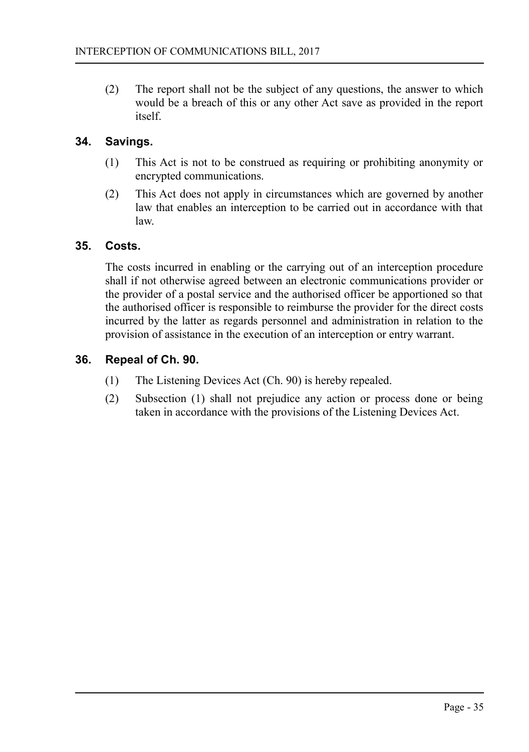(2) The report shall not be the subject of any questions, the answer to which would be a breach of this or any other Act save as provided in the report itself.

## **34. Savings.**

- <span id="page-34-2"></span>(1) This Act is not to be construed as requiring or prohibiting anonymity or encrypted communications.
- (2) This Act does not apply in circumstances which are governed by another law that enables an interception to be carried out in accordance with that law.

## **35. Costs.**

<span id="page-34-1"></span>The costs incurred in enabling or the carrying out of an interception procedure shall if not otherwise agreed between an electronic communications provider or the provider of a postal service and the authorised officer be apportioned so that the authorised officer is responsible to reimburse the provider for the direct costs incurred by the latter as regards personnel and administration in relation to the provision of assistance in the execution of an interception or entry warrant.

## **36. Repeal of Ch. 90.**

- <span id="page-34-0"></span>(1) The Listening Devices Act (Ch. 90) is hereby repealed.
- (2) Subsection (1) shall not prejudice any action or process done or being taken in accordance with the provisions of the Listening Devices Act.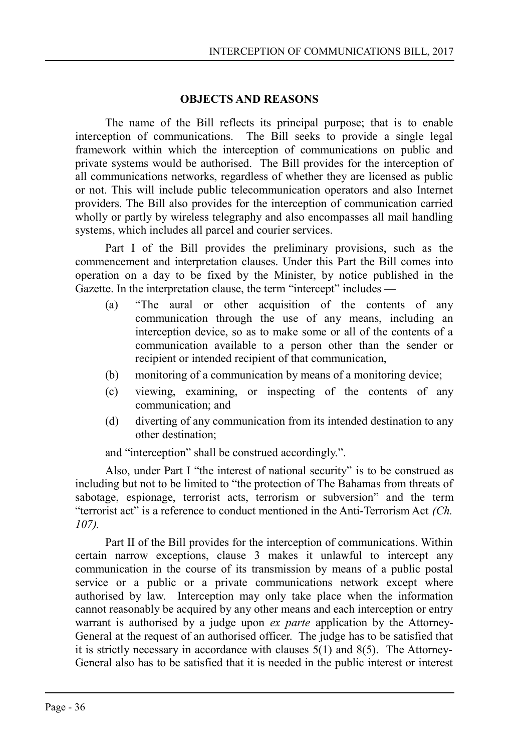#### <span id="page-35-0"></span>**OBJECTS AND REASONS**

The name of the Bill reflects its principal purpose; that is to enable interception of communications. The Bill seeks to provide a single legal framework within which the interception of communications on public and private systems would be authorised. The Bill provides for the interception of all communications networks, regardless of whether they are licensed as public or not. This will include public telecommunication operators and also Internet providers. The Bill also provides for the interception of communication carried wholly or partly by wireless telegraphy and also encompasses all mail handling systems, which includes all parcel and courier services.

Part I of the Bill provides the preliminary provisions, such as the commencement and interpretation clauses. Under this Part the Bill comes into operation on a day to be fixed by the Minister, by notice published in the Gazette. In the interpretation clause, the term "intercept" includes —

- (a) "The aural or other acquisition of the contents of any communication through the use of any means, including an interception device, so as to make some or all of the contents of a communication available to a person other than the sender or recipient or intended recipient of that communication,
- (b) monitoring of a communication by means of a monitoring device;
- (c) viewing, examining, or inspecting of the contents of any communication; and
- (d) diverting of any communication from its intended destination to any other destination;

and "interception" shall be construed accordingly.".

Also, under Part I "the interest of national security" is to be construed as including but not to be limited to "the protection of The Bahamas from threats of sabotage, espionage, terrorist acts, terrorism or subversion" and the term "terrorist act" is a reference to conduct mentioned in the Anti-Terrorism Act *(Ch. 107).*

Part II of the Bill provides for the interception of communications. Within certain narrow exceptions, clause 3 makes it unlawful to intercept any communication in the course of its transmission by means of a public postal service or a public or a private communications network except where authorised by law. Interception may only take place when the information cannot reasonably be acquired by any other means and each interception or entry warrant is authorised by a judge upon *ex parte* application by the Attorney-General at the request of an authorised officer. The judge has to be satisfied that it is strictly necessary in accordance with clauses 5(1) and 8(5). The Attorney-General also has to be satisfied that it is needed in the public interest or interest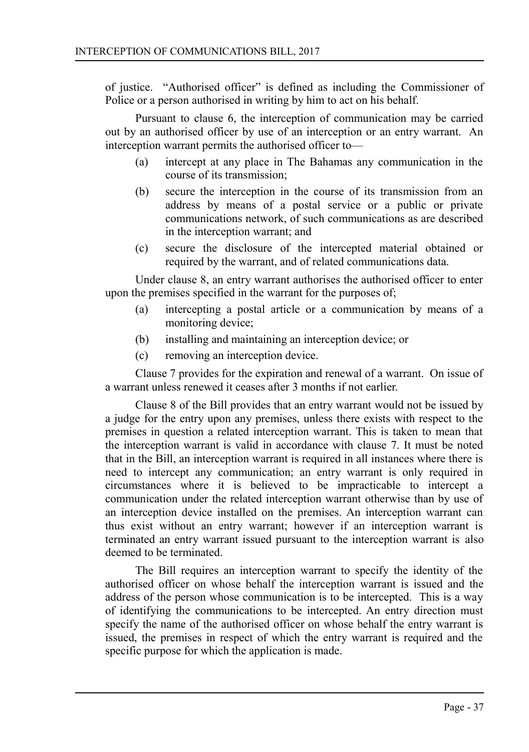of justice. "Authorised officer" is defined as including the Commissioner of Police or a person authorised in writing by him to act on his behalf.

Pursuant to clause 6, the interception of communication may be carried out by an authorised officer by use of an interception or an entry warrant. An interception warrant permits the authorised officer to—

- (a) intercept at any place in The Bahamas any communication in the course of its transmission;
- (b) secure the interception in the course of its transmission from an address by means of a postal service or a public or private communications network, of such communications as are described in the interception warrant; and
- (c) secure the disclosure of the intercepted material obtained or required by the warrant, and of related communications data.

Under clause 8, an entry warrant authorises the authorised officer to enter upon the premises specified in the warrant for the purposes of;

- (a) intercepting a postal article or a communication by means of a monitoring device;
- (b) installing and maintaining an interception device; or
- (c) removing an interception device.

Clause 7 provides for the expiration and renewal of a warrant. On issue of a warrant unless renewed it ceases after 3 months if not earlier.

Clause 8 of the Bill provides that an entry warrant would not be issued by a judge for the entry upon any premises, unless there exists with respect to the premises in question a related interception warrant. This is taken to mean that the interception warrant is valid in accordance with clause 7. It must be noted that in the Bill, an interception warrant is required in all instances where there is need to intercept any communication; an entry warrant is only required in circumstances where it is believed to be impracticable to intercept a communication under the related interception warrant otherwise than by use of an interception device installed on the premises. An interception warrant can thus exist without an entry warrant; however if an interception warrant is terminated an entry warrant issued pursuant to the interception warrant is also deemed to be terminated.

The Bill requires an interception warrant to specify the identity of the authorised officer on whose behalf the interception warrant is issued and the address of the person whose communication is to be intercepted. This is a way of identifying the communications to be intercepted. An entry direction must specify the name of the authorised officer on whose behalf the entry warrant is issued, the premises in respect of which the entry warrant is required and the specific purpose for which the application is made.